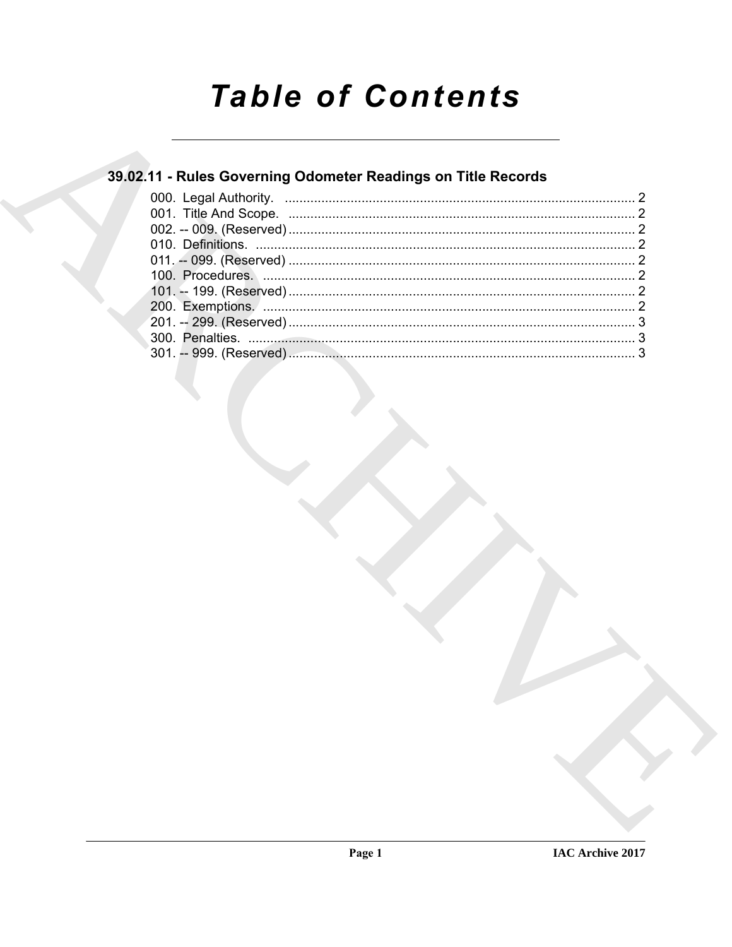# **Table of Contents**

### 39.02.11 - Rules Governing Odometer Readings on Title Records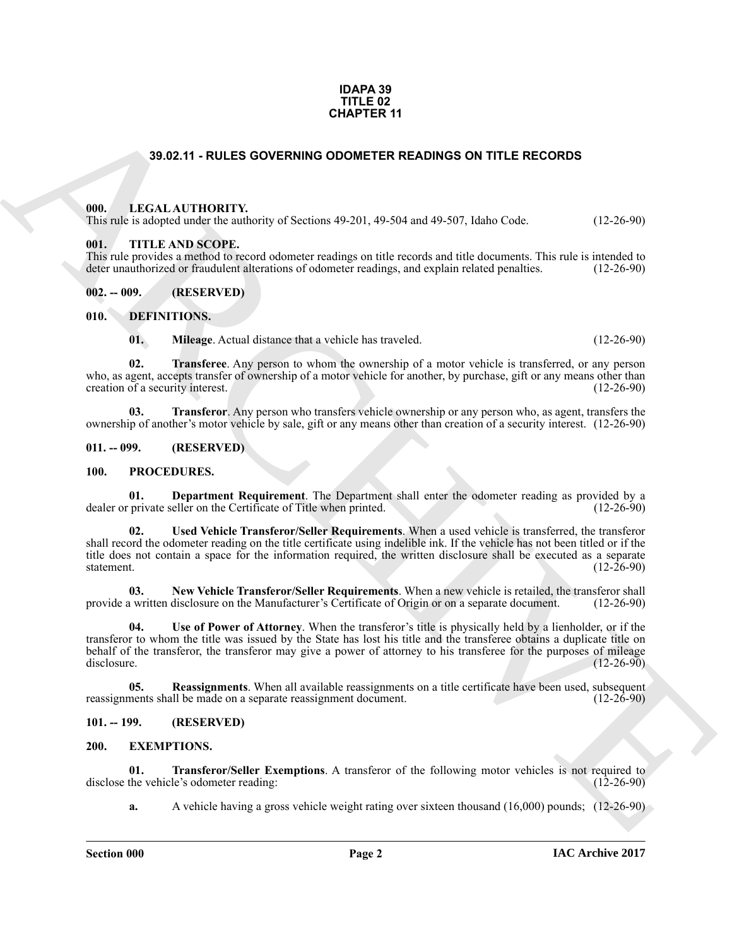#### **IDAPA 39 TITLE 02 CHAPTER 11**

#### **39.02.11 - RULES GOVERNING ODOMETER READINGS ON TITLE RECORDS**

#### <span id="page-1-1"></span><span id="page-1-0"></span>**000. LEGAL AUTHORITY.**

This rule is adopted under the authority of Sections 49-201, 49-504 and 49-507, Idaho Code. (12-26-90)

#### <span id="page-1-2"></span>**001. TITLE AND SCOPE.**

This rule provides a method to record odometer readings on title records and title documents. This rule is intended to deter unauthorized or fraudulent alterations of odometer readings, and explain related penalties. (12-2 deter unauthorized or fraudulent alterations of odometer readings, and explain related penalties.

<span id="page-1-3"></span>**002. -- 009. (RESERVED)**

<span id="page-1-4"></span>**010. DEFINITIONS.**

<span id="page-1-12"></span><span id="page-1-11"></span><span id="page-1-10"></span><span id="page-1-9"></span>**01. Mileage**. Actual distance that a vehicle has traveled. (12-26-90)

**02. Transferee**. Any person to whom the ownership of a motor vehicle is transferred, or any person who, as agent, accepts transfer of ownership of a motor vehicle for another, by purchase, gift or any means other than creation of a security interest. (12-26-90) creation of a security interest.

**03.** Transferor. Any person who transfers vehicle ownership or any person who, as agent, transfers the ownership of another's motor vehicle by sale, gift or any means other than creation of a security interest. (12-26-90)

#### <span id="page-1-5"></span>**011. -- 099. (RESERVED)**

#### <span id="page-1-16"></span><span id="page-1-15"></span><span id="page-1-6"></span>**100. PROCEDURES.**

<span id="page-1-20"></span>**01.** Department Requirement. The Department shall enter the odometer reading as provided by a private seller on the Certificate of Title when printed. (12-26-90) dealer or private seller on the Certificate of Title when printed.

**CHAPTER 11**<br> **CHAPTER 11**<br> **CHAL AUTIONITY**<br> **CHAL AUTIONITY**<br> **CHAL AUTIONITY**<br> **CHAL AUTIONITY**<br> **CHAL AUTIONITY**<br> **CHAL AUTIONITY CONTROL**<br> **CHAL AUTIONITY CONTROL**<br> **CHAL AUTIONITY CONTROL**<br> **CHAL AUTHORITY CONTROL**<br> **02. Used Vehicle Transferor/Seller Requirements**. When a used vehicle is transferred, the transferor shall record the odometer reading on the title certificate using indelible ink. If the vehicle has not been titled or if the title does not contain a space for the information required, the written disclosure shall be executed as a separate statement. (12-26-90) statement. (12-26-90)

<span id="page-1-17"></span>**03. New Vehicle Transferor/Seller Requirements**. When a new vehicle is retailed, the transferor shall provide a written disclosure on the Manufacturer's Certificate of Origin or on a separate document.

<span id="page-1-19"></span>**04. Use of Power of Attorney**. When the transferor's title is physically held by a lienholder, or if the transferor to whom the title was issued by the State has lost his title and the transferee obtains a duplicate title on behalf of the transferor, the transferor may give a power of attorney to his transferee for the purposes of mileage disclosure. (12-26-90) disclosure. (12-26-90)

<span id="page-1-18"></span>**05.** Reassignments. When all available reassignments on a title certificate have been used, subsequent nents shall be made on a separate reassignment document. (12-26-90) reassignments shall be made on a separate reassignment document.

#### <span id="page-1-13"></span><span id="page-1-7"></span>**101. -- 199. (RESERVED)**

#### <span id="page-1-8"></span>**200. EXEMPTIONS.**

**01. Transferor/Seller Exemptions**. A transferor of the following motor vehicles is not required to the vehicle's odometer reading: (12-26-90) disclose the vehicle's odometer reading:

<span id="page-1-14"></span>**a.** A vehicle having a gross vehicle weight rating over sixteen thousand (16,000) pounds; (12-26-90)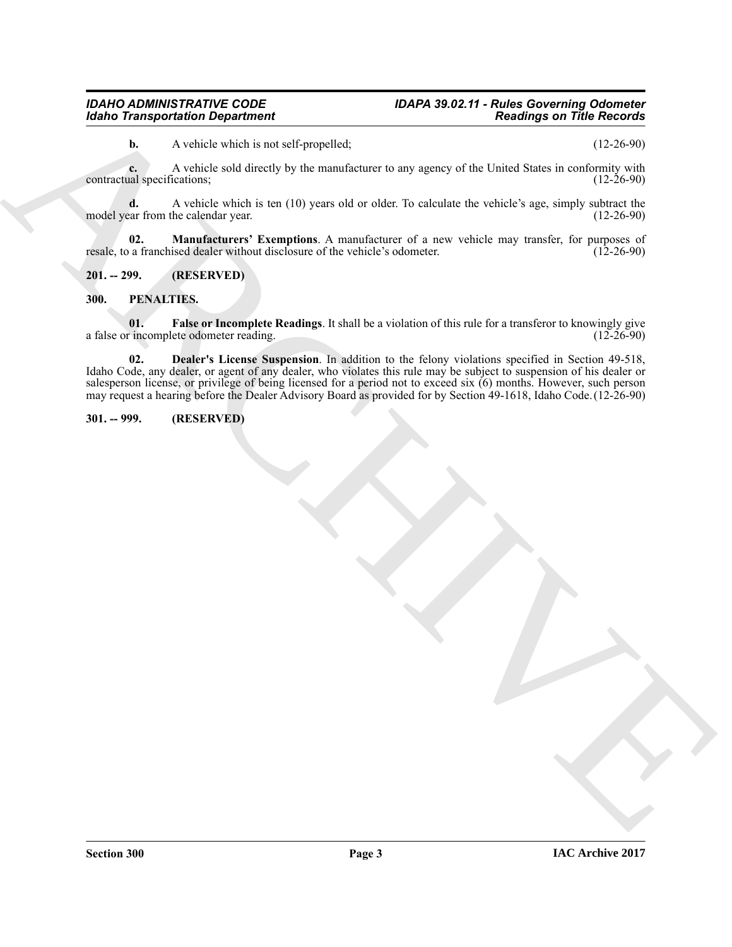### *Idaho Transportation Department*

## *IDAHO ADMINISTRATIVE CODE IDAPA 39.02.11 - Rules Governing Odometer*

**b.** A vehicle which is not self-propelled; (12-26-90)

**c.** A vehicle sold directly by the manufacturer to any agency of the United States in conformity with all specifications; (12-26-90) contractual specifications;

**d.** A vehicle which is ten (10) years old or older. To calculate the vehicle's age, simply subtract the car from the calendar year. (12-26-90) model year from the calendar year.

<span id="page-2-3"></span>**02. Manufacturers' Exemptions**. A manufacturer of a new vehicle may transfer, for purposes of resale, to a franchised dealer without disclosure of the vehicle's odometer. (12-26-90)

<span id="page-2-0"></span>**201. -- 299. (RESERVED)**

#### <span id="page-2-4"></span><span id="page-2-1"></span>**300. PENALTIES.**

<span id="page-2-6"></span><span id="page-2-5"></span>**01. False or Incomplete Readings**. It shall be a violation of this rule for a transferor to knowingly give r incomplete odometer reading. (12-26-90) a false or incomplete odometer reading.

Gladio Transportation Department<br>
A counter that is not collected the same of the projective.<br>
A counter of the same of the same of the same of the same of the same of the same of the same of the same of<br>
spatial and the **02. Dealer's License Suspension**. In addition to the felony violations specified in Section 49-518, Idaho Code, any dealer, or agent of any dealer, who violates this rule may be subject to suspension of his dealer or salesperson license, or privilege of being licensed for a period not to exceed six (6) months. However, such person may request a hearing before the Dealer Advisory Board as provided for by Section 49-1618, Idaho Code.(12-26-90)

#### <span id="page-2-2"></span>**301. -- 999. (RESERVED)**